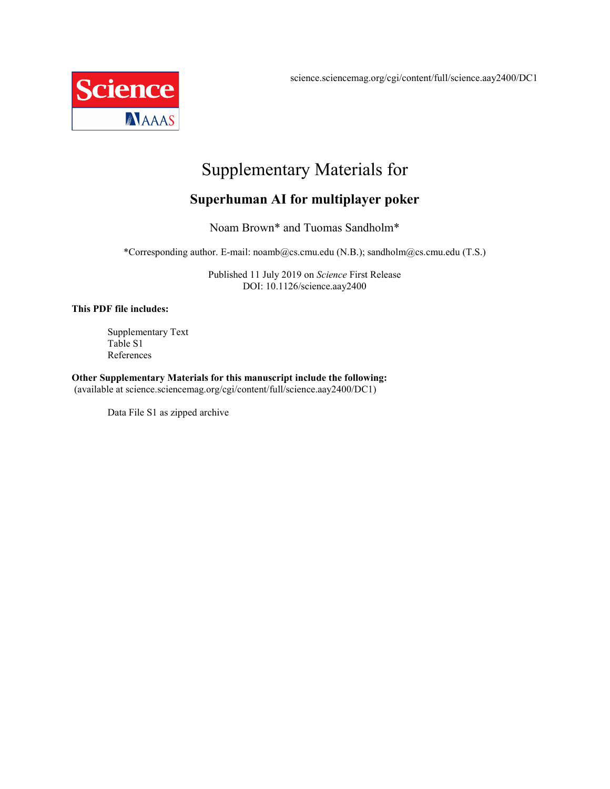science.sciencemag.org/cgi/content/full/science.aay2400/DC1



# Supplementary Materials for

### **Superhuman AI for multiplayer poker**

Noam Brown\* and Tuomas Sandholm\*

\*Corresponding author. E-mail: noamb@cs.cmu.edu (N.B.); sandholm@cs.cmu.edu (T.S.)

Published 11 July 2019 on *Science* First Release DOI: 10.1126/science.aay2400

#### **This PDF file includes:**

Supplementary Text Table S1 References

**Other Supplementary Materials for this manuscript include the following:**

(available at science.sciencemag.org/cgi/content/full/science.aay2400/DC1)

Data File S1 as zipped archive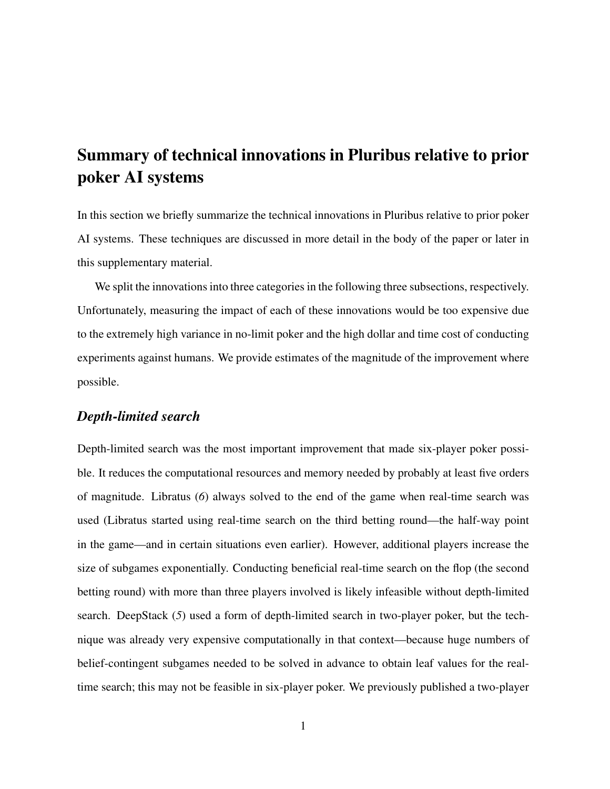# Summary of technical innovations in Pluribus relative to prior poker AI systems

In this section we briefly summarize the technical innovations in Pluribus relative to prior poker AI systems. These techniques are discussed in more detail in the body of the paper or later in this supplementary material.

We split the innovations into three categories in the following three subsections, respectively. Unfortunately, measuring the impact of each of these innovations would be too expensive due to the extremely high variance in no-limit poker and the high dollar and time cost of conducting experiments against humans. We provide estimates of the magnitude of the improvement where possible.

#### *Depth-limited search*

Depth-limited search was the most important improvement that made six-player poker possible. It reduces the computational resources and memory needed by probably at least five orders of magnitude. Libratus (*6*) always solved to the end of the game when real-time search was used (Libratus started using real-time search on the third betting round—the half-way point in the game—and in certain situations even earlier). However, additional players increase the size of subgames exponentially. Conducting beneficial real-time search on the flop (the second betting round) with more than three players involved is likely infeasible without depth-limited search. DeepStack (*5*) used a form of depth-limited search in two-player poker, but the technique was already very expensive computationally in that context—because huge numbers of belief-contingent subgames needed to be solved in advance to obtain leaf values for the realtime search; this may not be feasible in six-player poker. We previously published a two-player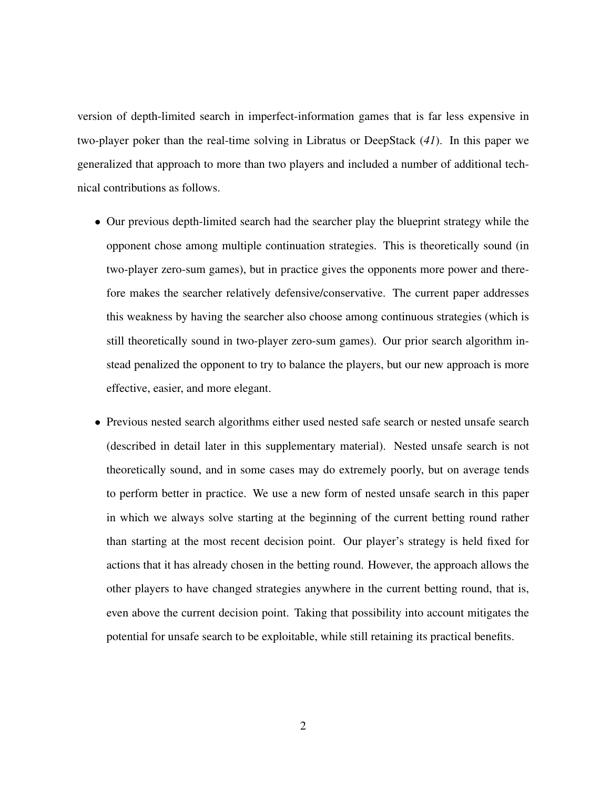version of depth-limited search in imperfect-information games that is far less expensive in two-player poker than the real-time solving in Libratus or DeepStack (*41*). In this paper we generalized that approach to more than two players and included a number of additional technical contributions as follows.

- Our previous depth-limited search had the searcher play the blueprint strategy while the opponent chose among multiple continuation strategies. This is theoretically sound (in two-player zero-sum games), but in practice gives the opponents more power and therefore makes the searcher relatively defensive/conservative. The current paper addresses this weakness by having the searcher also choose among continuous strategies (which is still theoretically sound in two-player zero-sum games). Our prior search algorithm instead penalized the opponent to try to balance the players, but our new approach is more effective, easier, and more elegant.
- Previous nested search algorithms either used nested safe search or nested unsafe search (described in detail later in this supplementary material). Nested unsafe search is not theoretically sound, and in some cases may do extremely poorly, but on average tends to perform better in practice. We use a new form of nested unsafe search in this paper in which we always solve starting at the beginning of the current betting round rather than starting at the most recent decision point. Our player's strategy is held fixed for actions that it has already chosen in the betting round. However, the approach allows the other players to have changed strategies anywhere in the current betting round, that is, even above the current decision point. Taking that possibility into account mitigates the potential for unsafe search to be exploitable, while still retaining its practical benefits.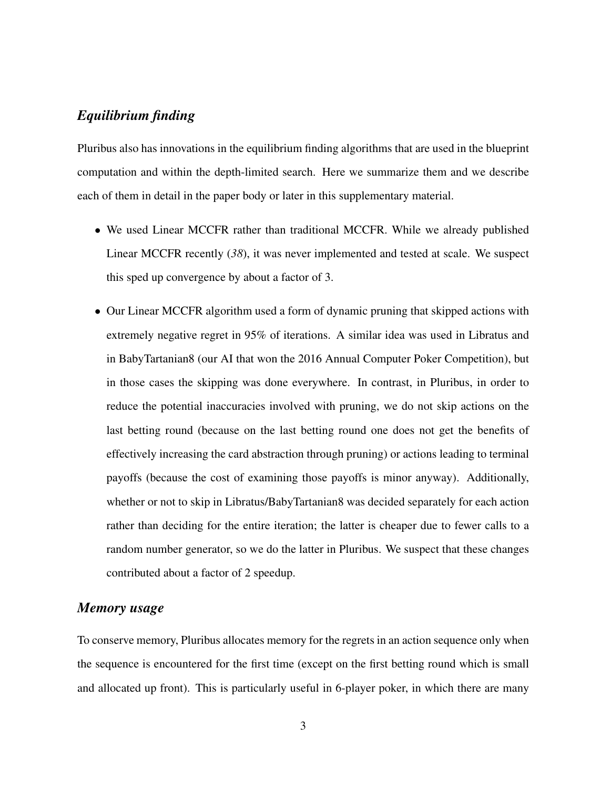#### *Equilibrium finding*

Pluribus also has innovations in the equilibrium finding algorithms that are used in the blueprint computation and within the depth-limited search. Here we summarize them and we describe each of them in detail in the paper body or later in this supplementary material.

- We used Linear MCCFR rather than traditional MCCFR. While we already published Linear MCCFR recently (*38*), it was never implemented and tested at scale. We suspect this sped up convergence by about a factor of 3.
- Our Linear MCCFR algorithm used a form of dynamic pruning that skipped actions with extremely negative regret in 95% of iterations. A similar idea was used in Libratus and in BabyTartanian8 (our AI that won the 2016 Annual Computer Poker Competition), but in those cases the skipping was done everywhere. In contrast, in Pluribus, in order to reduce the potential inaccuracies involved with pruning, we do not skip actions on the last betting round (because on the last betting round one does not get the benefits of effectively increasing the card abstraction through pruning) or actions leading to terminal payoffs (because the cost of examining those payoffs is minor anyway). Additionally, whether or not to skip in Libratus/BabyTartanian8 was decided separately for each action rather than deciding for the entire iteration; the latter is cheaper due to fewer calls to a random number generator, so we do the latter in Pluribus. We suspect that these changes contributed about a factor of 2 speedup.

#### *Memory usage*

To conserve memory, Pluribus allocates memory for the regrets in an action sequence only when the sequence is encountered for the first time (except on the first betting round which is small and allocated up front). This is particularly useful in 6-player poker, in which there are many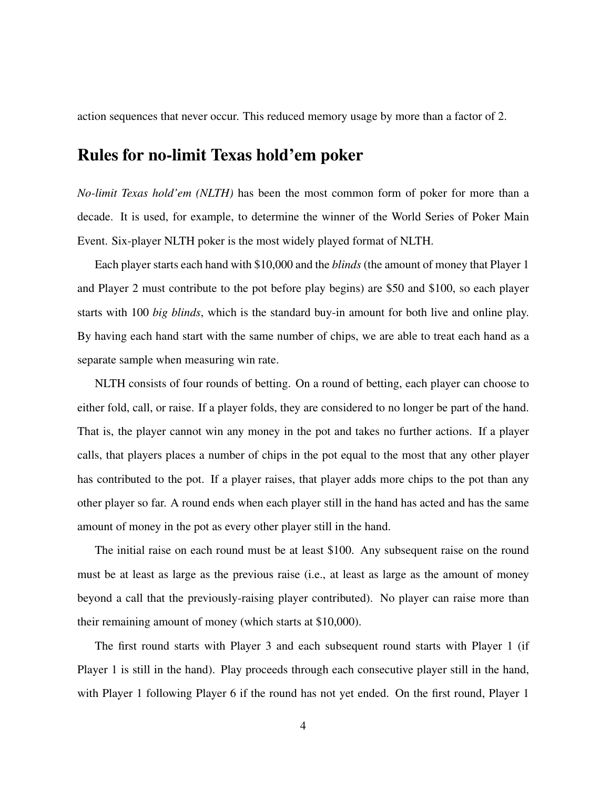action sequences that never occur. This reduced memory usage by more than a factor of 2.

### Rules for no-limit Texas hold'em poker

*No-limit Texas hold'em (NLTH)* has been the most common form of poker for more than a decade. It is used, for example, to determine the winner of the World Series of Poker Main Event. Six-player NLTH poker is the most widely played format of NLTH.

Each player starts each hand with \$10,000 and the *blinds* (the amount of money that Player 1 and Player 2 must contribute to the pot before play begins) are \$50 and \$100, so each player starts with 100 *big blinds*, which is the standard buy-in amount for both live and online play. By having each hand start with the same number of chips, we are able to treat each hand as a separate sample when measuring win rate.

NLTH consists of four rounds of betting. On a round of betting, each player can choose to either fold, call, or raise. If a player folds, they are considered to no longer be part of the hand. That is, the player cannot win any money in the pot and takes no further actions. If a player calls, that players places a number of chips in the pot equal to the most that any other player has contributed to the pot. If a player raises, that player adds more chips to the pot than any other player so far. A round ends when each player still in the hand has acted and has the same amount of money in the pot as every other player still in the hand.

The initial raise on each round must be at least \$100. Any subsequent raise on the round must be at least as large as the previous raise (i.e., at least as large as the amount of money beyond a call that the previously-raising player contributed). No player can raise more than their remaining amount of money (which starts at \$10,000).

The first round starts with Player 3 and each subsequent round starts with Player 1 (if Player 1 is still in the hand). Play proceeds through each consecutive player still in the hand, with Player 1 following Player 6 if the round has not yet ended. On the first round, Player 1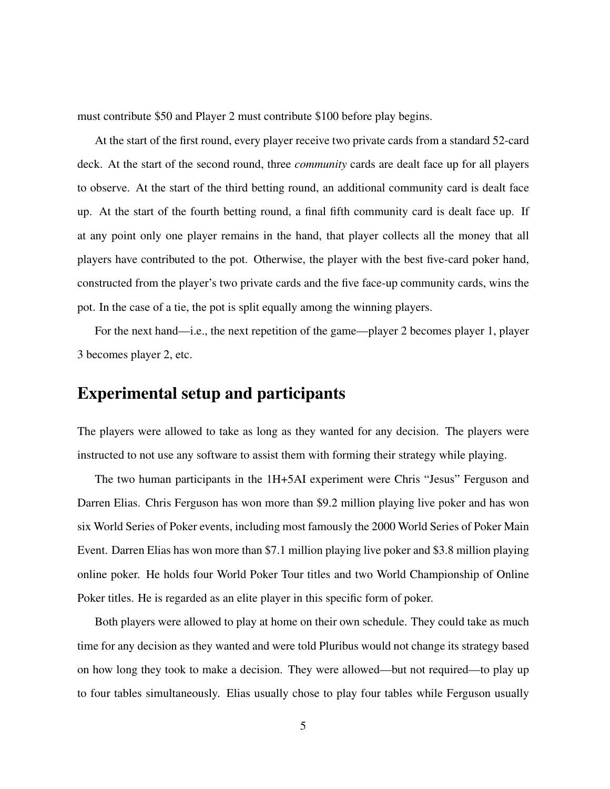must contribute \$50 and Player 2 must contribute \$100 before play begins.

At the start of the first round, every player receive two private cards from a standard 52-card deck. At the start of the second round, three *community* cards are dealt face up for all players to observe. At the start of the third betting round, an additional community card is dealt face up. At the start of the fourth betting round, a final fifth community card is dealt face up. If at any point only one player remains in the hand, that player collects all the money that all players have contributed to the pot. Otherwise, the player with the best five-card poker hand, constructed from the player's two private cards and the five face-up community cards, wins the pot. In the case of a tie, the pot is split equally among the winning players.

For the next hand—i.e., the next repetition of the game—player 2 becomes player 1, player 3 becomes player 2, etc.

### Experimental setup and participants

The players were allowed to take as long as they wanted for any decision. The players were instructed to not use any software to assist them with forming their strategy while playing.

The two human participants in the 1H+5AI experiment were Chris "Jesus" Ferguson and Darren Elias. Chris Ferguson has won more than \$9.2 million playing live poker and has won six World Series of Poker events, including most famously the 2000 World Series of Poker Main Event. Darren Elias has won more than \$7.1 million playing live poker and \$3.8 million playing online poker. He holds four World Poker Tour titles and two World Championship of Online Poker titles. He is regarded as an elite player in this specific form of poker.

Both players were allowed to play at home on their own schedule. They could take as much time for any decision as they wanted and were told Pluribus would not change its strategy based on how long they took to make a decision. They were allowed—but not required—to play up to four tables simultaneously. Elias usually chose to play four tables while Ferguson usually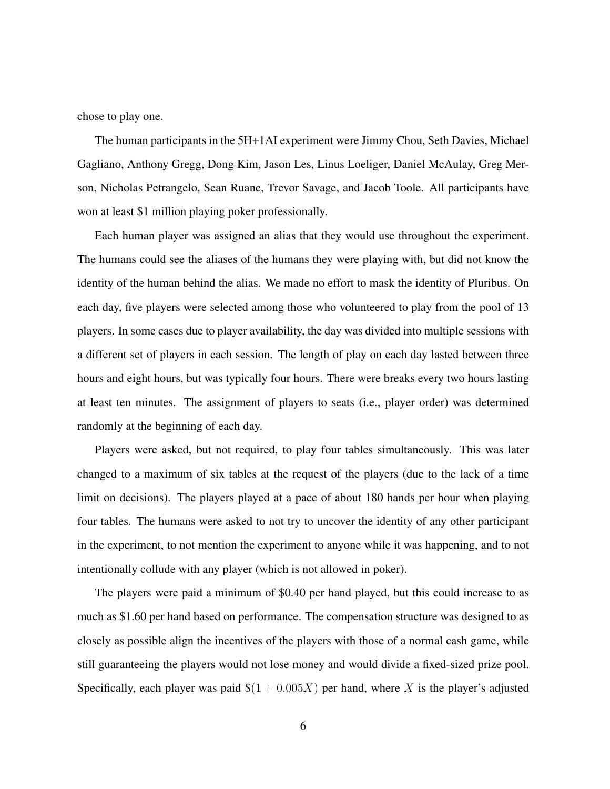chose to play one.

The human participants in the 5H+1AI experiment were Jimmy Chou, Seth Davies, Michael Gagliano, Anthony Gregg, Dong Kim, Jason Les, Linus Loeliger, Daniel McAulay, Greg Merson, Nicholas Petrangelo, Sean Ruane, Trevor Savage, and Jacob Toole. All participants have won at least \$1 million playing poker professionally.

Each human player was assigned an alias that they would use throughout the experiment. The humans could see the aliases of the humans they were playing with, but did not know the identity of the human behind the alias. We made no effort to mask the identity of Pluribus. On each day, five players were selected among those who volunteered to play from the pool of 13 players. In some cases due to player availability, the day was divided into multiple sessions with a different set of players in each session. The length of play on each day lasted between three hours and eight hours, but was typically four hours. There were breaks every two hours lasting at least ten minutes. The assignment of players to seats (i.e., player order) was determined randomly at the beginning of each day.

Players were asked, but not required, to play four tables simultaneously. This was later changed to a maximum of six tables at the request of the players (due to the lack of a time limit on decisions). The players played at a pace of about 180 hands per hour when playing four tables. The humans were asked to not try to uncover the identity of any other participant in the experiment, to not mention the experiment to anyone while it was happening, and to not intentionally collude with any player (which is not allowed in poker).

The players were paid a minimum of \$0.40 per hand played, but this could increase to as much as \$1.60 per hand based on performance. The compensation structure was designed to as closely as possible align the incentives of the players with those of a normal cash game, while still guaranteeing the players would not lose money and would divide a fixed-sized prize pool. Specifically, each player was paid  $\$(1 + 0.005X)$  per hand, where X is the player's adjusted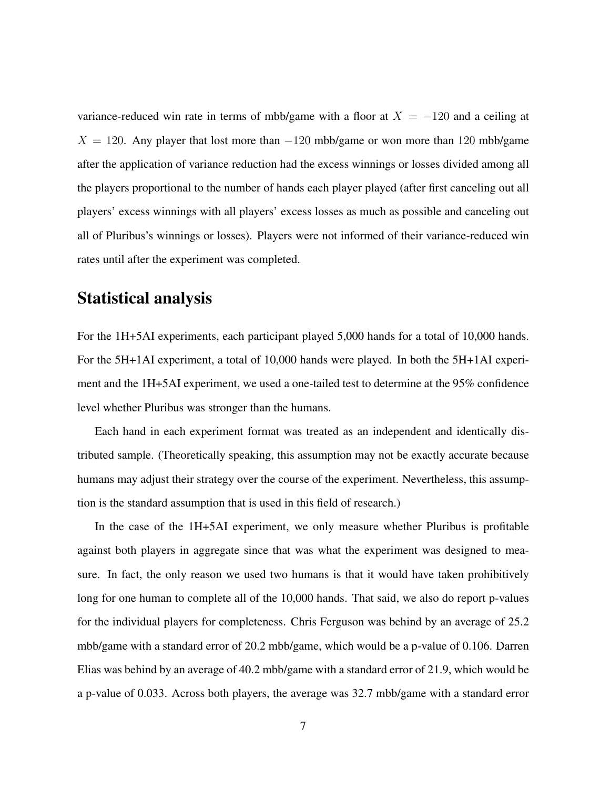variance-reduced win rate in terms of mbb/game with a floor at  $X = -120$  and a ceiling at  $X = 120$ . Any player that lost more than  $-120$  mbb/game or won more than 120 mbb/game after the application of variance reduction had the excess winnings or losses divided among all the players proportional to the number of hands each player played (after first canceling out all players' excess winnings with all players' excess losses as much as possible and canceling out all of Pluribus's winnings or losses). Players were not informed of their variance-reduced win rates until after the experiment was completed.

### Statistical analysis

For the 1H+5AI experiments, each participant played 5,000 hands for a total of 10,000 hands. For the 5H+1AI experiment, a total of 10,000 hands were played. In both the 5H+1AI experiment and the 1H+5AI experiment, we used a one-tailed test to determine at the 95% confidence level whether Pluribus was stronger than the humans.

Each hand in each experiment format was treated as an independent and identically distributed sample. (Theoretically speaking, this assumption may not be exactly accurate because humans may adjust their strategy over the course of the experiment. Nevertheless, this assumption is the standard assumption that is used in this field of research.)

In the case of the 1H+5AI experiment, we only measure whether Pluribus is profitable against both players in aggregate since that was what the experiment was designed to measure. In fact, the only reason we used two humans is that it would have taken prohibitively long for one human to complete all of the 10,000 hands. That said, we also do report p-values for the individual players for completeness. Chris Ferguson was behind by an average of 25.2 mbb/game with a standard error of 20.2 mbb/game, which would be a p-value of 0.106. Darren Elias was behind by an average of 40.2 mbb/game with a standard error of 21.9, which would be a p-value of 0.033. Across both players, the average was 32.7 mbb/game with a standard error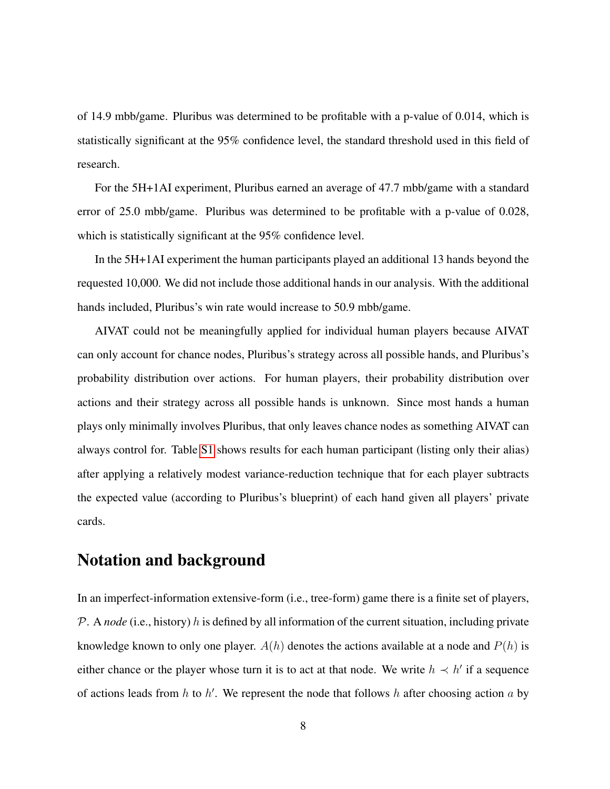of 14.9 mbb/game. Pluribus was determined to be profitable with a p-value of 0.014, which is statistically significant at the 95% confidence level, the standard threshold used in this field of research.

For the 5H+1AI experiment, Pluribus earned an average of 47.7 mbb/game with a standard error of 25.0 mbb/game. Pluribus was determined to be profitable with a p-value of 0.028, which is statistically significant at the 95% confidence level.

In the 5H+1AI experiment the human participants played an additional 13 hands beyond the requested 10,000. We did not include those additional hands in our analysis. With the additional hands included, Pluribus's win rate would increase to 50.9 mbb/game.

AIVAT could not be meaningfully applied for individual human players because AIVAT can only account for chance nodes, Pluribus's strategy across all possible hands, and Pluribus's probability distribution over actions. For human players, their probability distribution over actions and their strategy across all possible hands is unknown. Since most hands a human plays only minimally involves Pluribus, that only leaves chance nodes as something AIVAT can always control for. Table S1 shows results for each human participant (listing only their alias) after applying a relatively modest variance-reduction technique that for each player subtracts the expected value (according to Pluribus's blueprint) of each hand given all players' private cards.

# Notation and background

In an imperfect-information extensive-form (i.e., tree-form) game there is a finite set of players, P. A *node* (i.e., history) h is defined by all information of the current situation, including private knowledge known to only one player.  $A(h)$  denotes the actions available at a node and  $P(h)$  is either chance or the player whose turn it is to act at that node. We write  $h \prec h'$  if a sequence of actions leads from h to h'. We represent the node that follows h after choosing action a by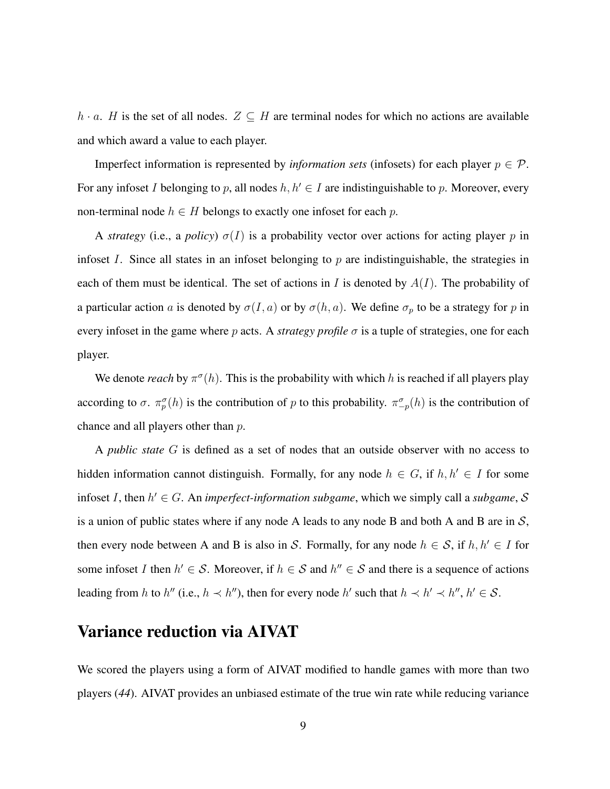h · a. H is the set of all nodes.  $Z \subseteq H$  are terminal nodes for which no actions are available and which award a value to each player.

Imperfect information is represented by *information sets* (infosets) for each player  $p \in \mathcal{P}$ . For any infoset I belonging to p, all nodes  $h, h' \in I$  are indistinguishable to p. Moreover, every non-terminal node  $h \in H$  belongs to exactly one infoset for each p.

A *strategy* (i.e., a *policy*)  $\sigma(I)$  is a probability vector over actions for acting player p in infoset I. Since all states in an infoset belonging to  $p$  are indistinguishable, the strategies in each of them must be identical. The set of actions in I is denoted by  $A(I)$ . The probability of a particular action a is denoted by  $\sigma(I, a)$  or by  $\sigma(h, a)$ . We define  $\sigma_p$  to be a strategy for p in every infoset in the game where p acts. A *strategy profile*  $\sigma$  is a tuple of strategies, one for each player.

We denote *reach* by  $\pi^{\sigma}(h)$ . This is the probability with which h is reached if all players play according to  $\sigma$ .  $\pi_p^{\sigma}(h)$  is the contribution of p to this probability.  $\pi_{-p}^{\sigma}(h)$  is the contribution of chance and all players other than p.

A *public state* G is defined as a set of nodes that an outside observer with no access to hidden information cannot distinguish. Formally, for any node  $h \in G$ , if  $h, h' \in I$  for some infoset *I*, then  $h' \in G$ . An *imperfect-information subgame*, which we simply call a *subgame*, S is a union of public states where if any node A leads to any node B and both A and B are in  $S$ , then every node between A and B is also in S. Formally, for any node  $h \in S$ , if  $h, h' \in I$  for some infoset I then  $h' \in S$ . Moreover, if  $h \in S$  and  $h'' \in S$  and there is a sequence of actions leading from h to h'' (i.e.,  $h \prec h''$ ), then for every node h' such that  $h \prec h' \prec h''$ ,  $h' \in S$ .

## Variance reduction via AIVAT

We scored the players using a form of AIVAT modified to handle games with more than two players (*44*). AIVAT provides an unbiased estimate of the true win rate while reducing variance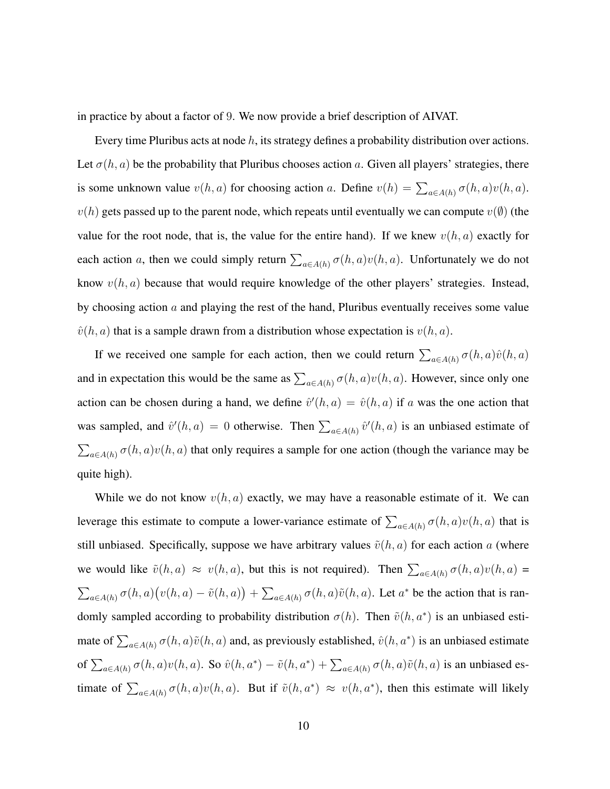in practice by about a factor of 9. We now provide a brief description of AIVAT.

Every time Pluribus acts at node  $h$ , its strategy defines a probability distribution over actions. Let  $\sigma(h, a)$  be the probability that Pluribus chooses action a. Given all players' strategies, there is some unknown value  $v(h, a)$  for choosing action a. Define  $v(h) = \sum_{a \in A(h)} \sigma(h, a)v(h, a)$ .  $v(h)$  gets passed up to the parent node, which repeats until eventually we can compute  $v(\emptyset)$  (the value for the root node, that is, the value for the entire hand). If we knew  $v(h, a)$  exactly for each action a, then we could simply return  $\sum_{a \in A(h)} \sigma(h, a)v(h, a)$ . Unfortunately we do not know  $v(h, a)$  because that would require knowledge of the other players' strategies. Instead, by choosing action  $\alpha$  and playing the rest of the hand, Pluribus eventually receives some value  $\hat{v}(h, a)$  that is a sample drawn from a distribution whose expectation is  $v(h, a)$ .

If we received one sample for each action, then we could return  $\sum_{a \in A(h)} \sigma(h, a) \hat{v}(h, a)$ and in expectation this would be the same as  $\sum_{a \in A(h)} \sigma(h, a)v(h, a)$ . However, since only one action can be chosen during a hand, we define  $\hat{v}'(h, a) = \hat{v}(h, a)$  if a was the one action that was sampled, and  $\hat{v}'(h, a) = 0$  otherwise. Then  $\sum_{a \in A(h)} \hat{v}'(h, a)$  is an unbiased estimate of  $\sum_{a \in A(h)} \sigma(h, a)v(h, a)$  that only requires a sample for one action (though the variance may be quite high).

While we do not know  $v(h, a)$  exactly, we may have a reasonable estimate of it. We can leverage this estimate to compute a lower-variance estimate of  $\sum_{a \in A(h)} \sigma(h, a) v(h, a)$  that is still unbiased. Specifically, suppose we have arbitrary values  $\tilde{v}(h, a)$  for each action a (where we would like  $\tilde{v}(h, a) \approx v(h, a)$ , but this is not required). Then  $\sum_{a \in A(h)} \sigma(h, a)v(h, a) =$  $\sum_{a \in A(h)} \sigma(h, a) (v(h, a) - \tilde{v}(h, a)) + \sum_{a \in A(h)} \sigma(h, a) \tilde{v}(h, a)$ . Let  $a^*$  be the action that is randomly sampled according to probability distribution  $\sigma(h)$ . Then  $\tilde{\upsilon}(h, a^*)$  is an unbiased estimate of  $\sum_{a \in A(h)} \sigma(h, a) \tilde{v}(h, a)$  and, as previously established,  $\hat{v}(h, a^*)$  is an unbiased estimate of  $\sum_{a\in A(h)}\sigma(h,a)v(h,a)$ . So  $\hat{v}(h,a^*)-\tilde{v}(h,a^*)+\sum_{a\in A(h)}\sigma(h,a)\tilde{v}(h,a)$  is an unbiased estimate of  $\sum_{a \in A(h)} \sigma(h, a)v(h, a)$ . But if  $\tilde{v}(h, a^*) \approx v(h, a^*)$ , then this estimate will likely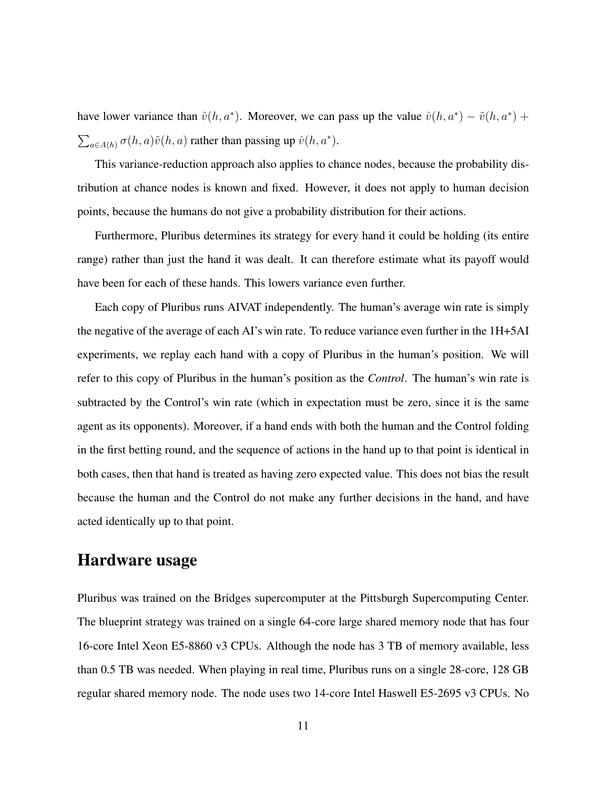have lower variance than  $\hat{v}(h, a^*)$ . Moreover, we can pass up the value  $\hat{v}(h, a^*) - \tilde{v}(h, a^*)$  +  $\sum_{a \in A(h)} \sigma(h, a) \tilde{v}(h, a)$  rather than passing up  $\hat{v}(h, a^*)$ .

This variance-reduction approach also applies to chance nodes, because the probability distribution at chance nodes is known and fixed. However, it does not apply to human decision points, because the humans do not give a probability distribution for their actions.

Furthermore, Pluribus determines its strategy for every hand it could be holding (its entire range) rather than just the hand it was dealt. It can therefore estimate what its payoff would have been for each of these hands. This lowers variance even further.

Each copy of Pluribus runs AIVAT independently. The human's average win rate is simply the negative of the average of each AI's win rate. To reduce variance even further in the 1H+5AI experiments, we replay each hand with a copy of Pluribus in the human's position. We will refer to this copy of Pluribus in the human's position as the *Control*. The human's win rate is subtracted by the Control's win rate (which in expectation must be zero, since it is the same agent as its opponents). Moreover, if a hand ends with both the human and the Control folding in the first betting round, and the sequence of actions in the hand up to that point is identical in both cases, then that hand is treated as having zero expected value. This does not bias the result because the human and the Control do not make any further decisions in the hand, and have acted identically up to that point.

# Hardware usage

Pluribus was trained on the Bridges supercomputer at the Pittsburgh Supercomputing Center. The blueprint strategy was trained on a single 64-core large shared memory node that has four 16-core Intel Xeon E5-8860 v3 CPUs. Although the node has 3 TB of memory available, less than 0.5 TB was needed. When playing in real time, Pluribus runs on a single 28-core, 128 GB regular shared memory node. The node uses two 14-core Intel Haswell E5-2695 v3 CPUs. No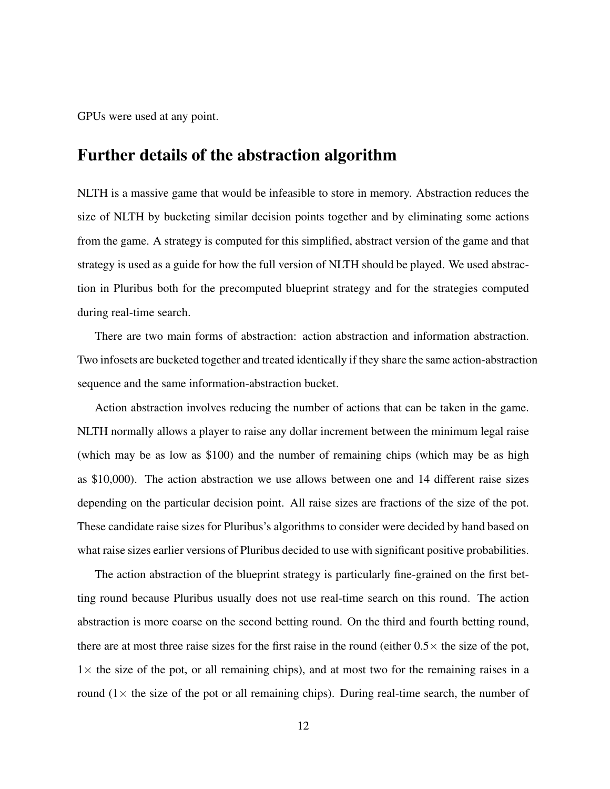GPUs were used at any point.

### Further details of the abstraction algorithm

NLTH is a massive game that would be infeasible to store in memory. Abstraction reduces the size of NLTH by bucketing similar decision points together and by eliminating some actions from the game. A strategy is computed for this simplified, abstract version of the game and that strategy is used as a guide for how the full version of NLTH should be played. We used abstraction in Pluribus both for the precomputed blueprint strategy and for the strategies computed during real-time search.

There are two main forms of abstraction: action abstraction and information abstraction. Two infosets are bucketed together and treated identically if they share the same action-abstraction sequence and the same information-abstraction bucket.

Action abstraction involves reducing the number of actions that can be taken in the game. NLTH normally allows a player to raise any dollar increment between the minimum legal raise (which may be as low as \$100) and the number of remaining chips (which may be as high as \$10,000). The action abstraction we use allows between one and 14 different raise sizes depending on the particular decision point. All raise sizes are fractions of the size of the pot. These candidate raise sizes for Pluribus's algorithms to consider were decided by hand based on what raise sizes earlier versions of Pluribus decided to use with significant positive probabilities.

The action abstraction of the blueprint strategy is particularly fine-grained on the first betting round because Pluribus usually does not use real-time search on this round. The action abstraction is more coarse on the second betting round. On the third and fourth betting round, there are at most three raise sizes for the first raise in the round (either  $0.5 \times$  the size of the pot,  $1\times$  the size of the pot, or all remaining chips), and at most two for the remaining raises in a round  $(1 \times$  the size of the pot or all remaining chips). During real-time search, the number of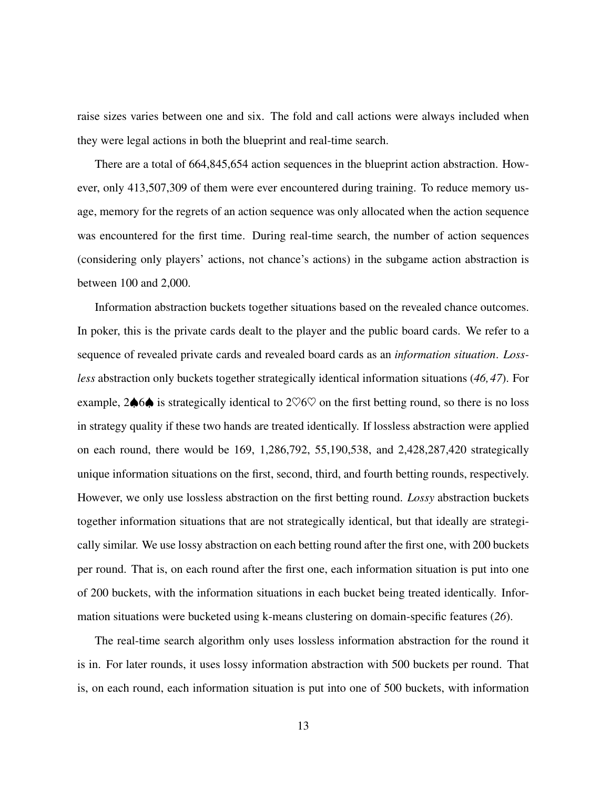raise sizes varies between one and six. The fold and call actions were always included when they were legal actions in both the blueprint and real-time search.

There are a total of 664,845,654 action sequences in the blueprint action abstraction. However, only 413,507,309 of them were ever encountered during training. To reduce memory usage, memory for the regrets of an action sequence was only allocated when the action sequence was encountered for the first time. During real-time search, the number of action sequences (considering only players' actions, not chance's actions) in the subgame action abstraction is between 100 and 2,000.

Information abstraction buckets together situations based on the revealed chance outcomes. In poker, this is the private cards dealt to the player and the public board cards. We refer to a sequence of revealed private cards and revealed board cards as an *information situation*. *Lossless* abstraction only buckets together strategically identical information situations (*46, 47*). For example, 2♦6♦ is strategically identical to  $2\heartsuit 6\heartsuit$  on the first betting round, so there is no loss in strategy quality if these two hands are treated identically. If lossless abstraction were applied on each round, there would be 169, 1,286,792, 55,190,538, and 2,428,287,420 strategically unique information situations on the first, second, third, and fourth betting rounds, respectively. However, we only use lossless abstraction on the first betting round. *Lossy* abstraction buckets together information situations that are not strategically identical, but that ideally are strategically similar. We use lossy abstraction on each betting round after the first one, with 200 buckets per round. That is, on each round after the first one, each information situation is put into one of 200 buckets, with the information situations in each bucket being treated identically. Information situations were bucketed using k-means clustering on domain-specific features (*26*).

The real-time search algorithm only uses lossless information abstraction for the round it is in. For later rounds, it uses lossy information abstraction with 500 buckets per round. That is, on each round, each information situation is put into one of 500 buckets, with information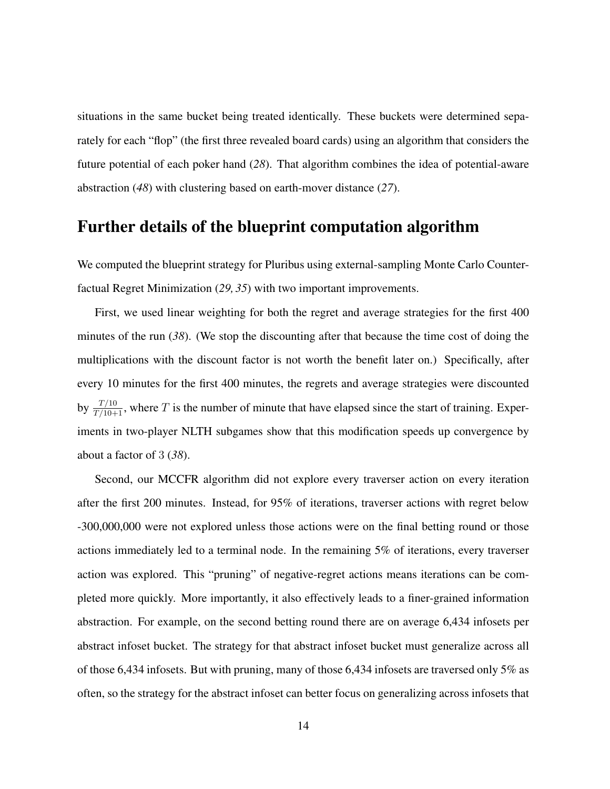situations in the same bucket being treated identically. These buckets were determined separately for each "flop" (the first three revealed board cards) using an algorithm that considers the future potential of each poker hand (*28*). That algorithm combines the idea of potential-aware abstraction (*48*) with clustering based on earth-mover distance (*27*).

## Further details of the blueprint computation algorithm

We computed the blueprint strategy for Pluribus using external-sampling Monte Carlo Counterfactual Regret Minimization (*29, 35*) with two important improvements.

First, we used linear weighting for both the regret and average strategies for the first 400 minutes of the run (*38*). (We stop the discounting after that because the time cost of doing the multiplications with the discount factor is not worth the benefit later on.) Specifically, after every 10 minutes for the first 400 minutes, the regrets and average strategies were discounted by  $\frac{T/10}{T/10+1}$ , where T is the number of minute that have elapsed since the start of training. Experiments in two-player NLTH subgames show that this modification speeds up convergence by about a factor of 3 (*38*).

Second, our MCCFR algorithm did not explore every traverser action on every iteration after the first 200 minutes. Instead, for 95% of iterations, traverser actions with regret below -300,000,000 were not explored unless those actions were on the final betting round or those actions immediately led to a terminal node. In the remaining 5% of iterations, every traverser action was explored. This "pruning" of negative-regret actions means iterations can be completed more quickly. More importantly, it also effectively leads to a finer-grained information abstraction. For example, on the second betting round there are on average 6,434 infosets per abstract infoset bucket. The strategy for that abstract infoset bucket must generalize across all of those 6,434 infosets. But with pruning, many of those 6,434 infosets are traversed only 5% as often, so the strategy for the abstract infoset can better focus on generalizing across infosets that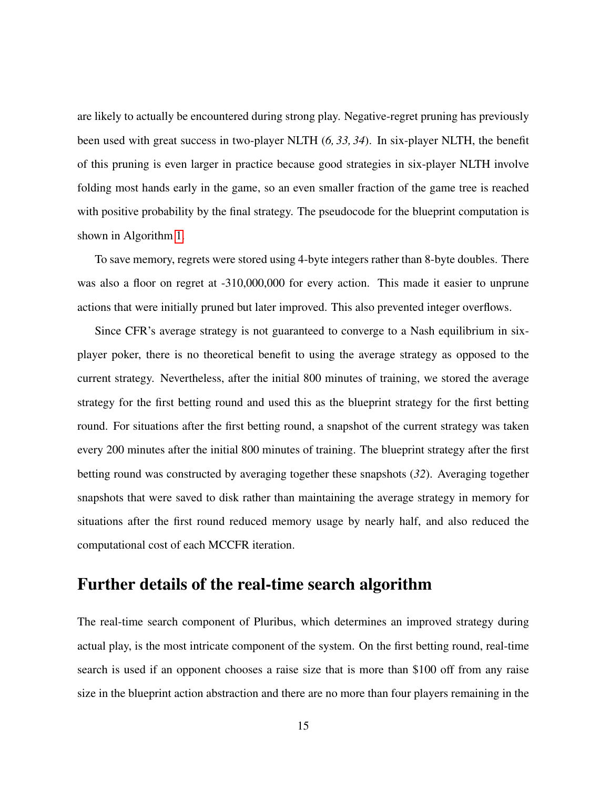are likely to actually be encountered during strong play. Negative-regret pruning has previously been used with great success in two-player NLTH (*6, 33, 34*). In six-player NLTH, the benefit of this pruning is even larger in practice because good strategies in six-player NLTH involve folding most hands early in the game, so an even smaller fraction of the game tree is reached with positive probability by the final strategy. The pseudocode for the blueprint computation is shown in Algorithm [1.](#page-21-0)

To save memory, regrets were stored using 4-byte integers rather than 8-byte doubles. There was also a floor on regret at -310,000,000 for every action. This made it easier to unprune actions that were initially pruned but later improved. This also prevented integer overflows.

Since CFR's average strategy is not guaranteed to converge to a Nash equilibrium in sixplayer poker, there is no theoretical benefit to using the average strategy as opposed to the current strategy. Nevertheless, after the initial 800 minutes of training, we stored the average strategy for the first betting round and used this as the blueprint strategy for the first betting round. For situations after the first betting round, a snapshot of the current strategy was taken every 200 minutes after the initial 800 minutes of training. The blueprint strategy after the first betting round was constructed by averaging together these snapshots (*32*). Averaging together snapshots that were saved to disk rather than maintaining the average strategy in memory for situations after the first round reduced memory usage by nearly half, and also reduced the computational cost of each MCCFR iteration.

## Further details of the real-time search algorithm

The real-time search component of Pluribus, which determines an improved strategy during actual play, is the most intricate component of the system. On the first betting round, real-time search is used if an opponent chooses a raise size that is more than \$100 off from any raise size in the blueprint action abstraction and there are no more than four players remaining in the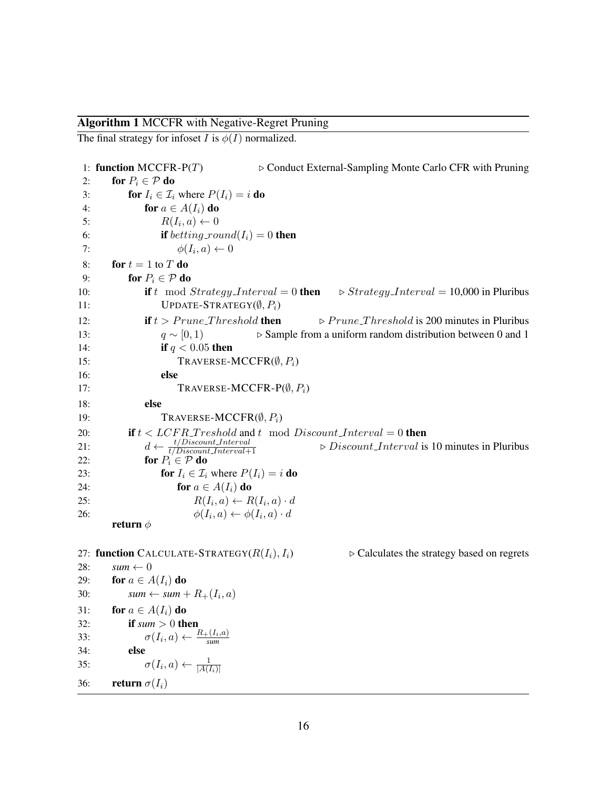#### Algorithm 1 MCCFR with Negative-Regret Pruning

The final strategy for infoset I is  $\phi(I)$  normalized.

```
1: function MCCFR-P(T) \triangleright Conduct External-Sampling Monte Carlo CFR with Pruning
2: for P_i \in \mathcal{P} do
3: for I_i \in \mathcal{I}_i where P(I_i) = i do
4: for a \in A(I_i) do
 5: R(I_i, a) \leftarrow 06: if betting_round(I_i) = 0 then
 7: \phi(I_i, a) \leftarrow 08: for t = 1 to T do
9: for P_i \in \mathcal{P} do
10: if t mod Strategy\_Interval = 0 then \triangleright Strategy\_Interval = 10,000 in Pluribus
11: UPDATE-STRATEGY(\emptyset, P_i)12: if t > Prune\_Threshold then \triangleright Prune\_Threshold is 200 minutes in Pluribus
13: q \sim [0, 1) \triangleright Sample from a uniform random distribution between 0 and 1
14: if q < 0.05 then
15: TRAVERSE-MCCFR(\emptyset, P_i)16: else
17: TRAVERSE-MCCFR-P(\emptyset, P_i)18: else
19: TRAVERSE-MCCFR(\emptyset, P_i)
20: if t < LCFR_Treshold and t \mod Discount\_Interval = 0 then
21: d \leftarrow \frac{t/Discount\_Interval}{t/Discount\_Interval + 1}\triangleright Discount Interval is 10 minutes in Pluribus
22: for P_i \in \mathcal{P} do
23: for I_i \in \mathcal{I}_i where P(I_i) = i do
24: for a \in A(I_i) do
25: R(I_i, a) \leftarrow R(I_i, a) \cdot d26: \phi(I_i, a) \leftarrow \phi(I_i, a) \cdot dreturn \phi27: function CALCULATE-STRATEGY(R(I_i), I_i) \rightarrow Calculates the strategy based on regrets
28: sum \leftarrow 029: for a \in A(I_i) do
30: sum \leftarrow sum + R_{+}(I_{i}, a)31: for a \in A(I_i) do
32: if sum > 0 then
33: \sigma(I_i, a) \leftarrow \frac{R_+(I_i, a)}{sum}34: else
35: \sigma(I_i, a) \leftarrow \frac{1}{|A(I_i)|}36: return \sigma(I_i)
```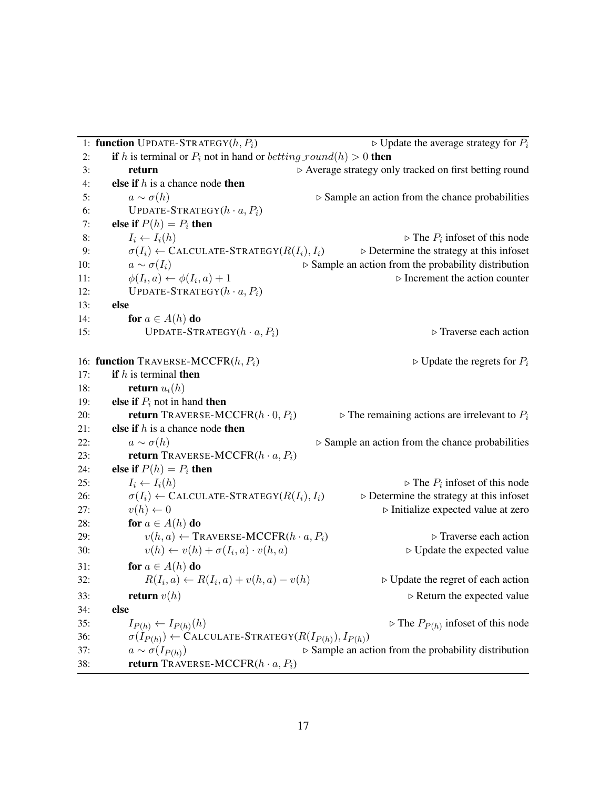|     | 1: function UPDATE-STRATEGY $(h, P_i)$                                         | $\triangleright$ Update the average strategy for $P_i$              |  |
|-----|--------------------------------------------------------------------------------|---------------------------------------------------------------------|--|
| 2:  | if h is terminal or $P_i$ not in hand or betting_round(h) > 0 then             |                                                                     |  |
| 3:  | return                                                                         | ▷ Average strategy only tracked on first betting round              |  |
| 4:  | else if $h$ is a chance node then                                              |                                                                     |  |
| 5:  | $a \sim \sigma(h)$                                                             | $\triangleright$ Sample an action from the chance probabilities     |  |
| 6:  | UPDATE-STRATEGY $(h \cdot a, P_i)$                                             |                                                                     |  |
| 7:  | else if $P(h) = P_i$ then                                                      |                                                                     |  |
| 8:  | $I_i \leftarrow I_i(h)$                                                        | $\triangleright$ The $P_i$ infoset of this node                     |  |
| 9:  | $\sigma(I_i) \leftarrow$ CALCULATE-STRATEGY( $R(I_i), I_i$ )                   | $\triangleright$ Determine the strategy at this infoset             |  |
| 10: | $a \sim \sigma(I_i)$                                                           | $\triangleright$ Sample an action from the probability distribution |  |
| 11: | $\phi(I_i, a) \leftarrow \phi(I_i, a) + 1$                                     | $\triangleright$ Increment the action counter                       |  |
| 12: | UPDATE-STRATEGY $(h \cdot a, P_i)$                                             |                                                                     |  |
| 13: | else                                                                           |                                                                     |  |
| 14: | for $a \in A(h)$ do                                                            |                                                                     |  |
| 15: | UPDATE-STRATEGY $(h \cdot a, P_i)$                                             | $\triangleright$ Traverse each action                               |  |
|     | 16: function TRAVERSE-MCCFR $(h, P_i)$                                         |                                                                     |  |
| 17: | if $h$ is terminal then                                                        | $\triangleright$ Update the regrets for $P_i$                       |  |
| 18: | <b>return</b> $u_i(h)$                                                         |                                                                     |  |
| 19: | else if $P_i$ not in hand then                                                 |                                                                     |  |
| 20: | <b>return</b> TRAVERSE-MCCFR $(h \cdot 0, P_i)$                                |                                                                     |  |
| 21: | else if $h$ is a chance node then                                              | $\triangleright$ The remaining actions are irrelevant to $P_i$      |  |
| 22: | $a \sim \sigma(h)$                                                             | $\triangleright$ Sample an action from the chance probabilities     |  |
| 23: | <b>return</b> TRAVERSE-MCCFR $(h \cdot a, P_i)$                                |                                                                     |  |
| 24: | else if $P(h) = P_i$ then                                                      |                                                                     |  |
| 25: | $I_i \leftarrow I_i(h)$                                                        | $\triangleright$ The $P_i$ infoset of this node                     |  |
| 26: | $\sigma(I_i) \leftarrow$ CALCULATE-STRATEGY( $R(I_i), I_i$ )                   | $\triangleright$ Determine the strategy at this infoset             |  |
| 27: | $v(h) \leftarrow 0$                                                            | $\triangleright$ Initialize expected value at zero                  |  |
| 28: | for $a \in A(h)$ do                                                            |                                                                     |  |
| 29: | $v(h, a) \leftarrow \text{TRANSE-MCCFR}(h \cdot a, P_i)$                       | $\triangleright$ Traverse each action                               |  |
| 30: | $v(h) \leftarrow v(h) + \sigma(I_i, a) \cdot v(h, a)$                          | $\triangleright$ Update the expected value                          |  |
| 31: | for $a \in A(h)$ do                                                            |                                                                     |  |
| 32: | $R(I_i, a) \leftarrow R(I_i, a) + v(h, a) - v(h)$                              | $\triangleright$ Update the regret of each action                   |  |
| 33: | return $v(h)$                                                                  | $\triangleright$ Return the expected value                          |  |
| 34: | else                                                                           |                                                                     |  |
| 35: | $I_{P(h)} \leftarrow I_{P(h)}(h)$                                              | $\triangleright$ The $P_{P(h)}$ infoset of this node                |  |
| 36: | $\sigma(I_{P(h)}) \leftarrow \text{CALCULATE-STRATEGY}(R(I_{P(h)}), I_{P(h)})$ |                                                                     |  |
| 37: | $a \sim \sigma(I_{P(h)})$                                                      | $\triangleright$ Sample an action from the probability distribution |  |
| 38: | <b>return</b> TRAVERSE-MCCFR $(h \cdot a, P_i)$                                |                                                                     |  |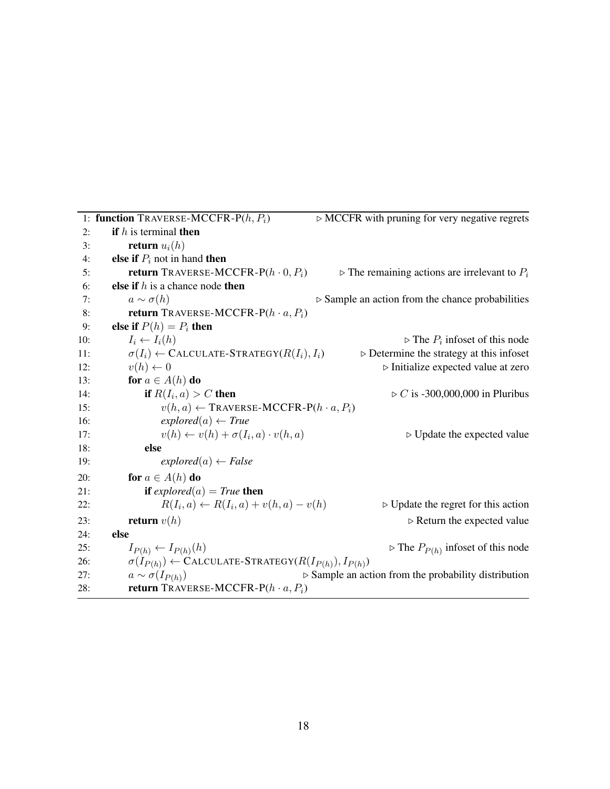1: **function** TRAVERSE-MCCFR-P( $h, P_i$ )  $\triangleright$  MCCFR with pruning for very negative regrets 2: if h is terminal then 3: return  $u_i(h)$ 4: **else if**  $P_i$  not in hand **then** 5: return TRAVERSE-MCCFR-P(h  $\cdot$  0,  $P_i$ )  $\rightarrow$  The remaining actions are irrelevant to  $P_i$ 6: **else if**  $h$  is a chance node **then** 7:  $a \sim \sigma(h)$  ⊳ Sample an action from the chance probabilities 8: return TRAVERSE-MCCFR-P $(h \cdot a, P_i)$ 9: **else if**  $P(h) = P_i$  then 10:  $I_i \leftarrow I_i(h)$  $\triangleright$  The  $P_i$  infoset of this node 11:  $\sigma(I_i) \leftarrow \text{CALCULATE-STRATEGY}(R(I_i), I_i)$   $\rightarrow \text{Determine the strategy at this infoset}$ 12:  $v(h) \leftarrow 0$  . Initialize expected value at zero 13: **for**  $a \in A(h)$  **do** 14: if  $R(I_i, a) > C$  then  $\triangleright$  C is -300,000,000 in Pluribus 15:  $v(h, a) \leftarrow \text{TRANSP} \cdot \text{MCCFR-P}(h \cdot a, P_i)$ 16:  $explored(a) \leftarrow True$ 17:  $v(h) \leftarrow v(h) + \sigma(I_i, a) \cdot v(h, a)$  $\triangleright$  Update the expected value 18: else 19:  $explored(a) \leftarrow False$ 20: **for**  $a \in A(h)$  **do** 21: **if**  $explored(a) = True$  **then** 22:  $R(I_i, a) \leftarrow R(I_i)$ ⊳ Update the regret for this action 23: **return**  $v(h)$   $\triangleright$  Return the expected value 24: else 25:  $I_{P(h)} \leftarrow I_{P(h)}(h)$ (*h*)  $\triangleright$  The  $P_{P(h)}$  infoset of this node 26:  $\sigma(I_{P(h)}) \leftarrow \text{CALCULATE-STRATEGY}(R(I_{P(h)}), I_{P(h)})$ 27:  $a \sim \sigma(I_{P(h)})$  $\triangleright$  Sample an action from the probability distribution 28: return TRAVERSE-MCCFR-P $(h \cdot a, P_i)$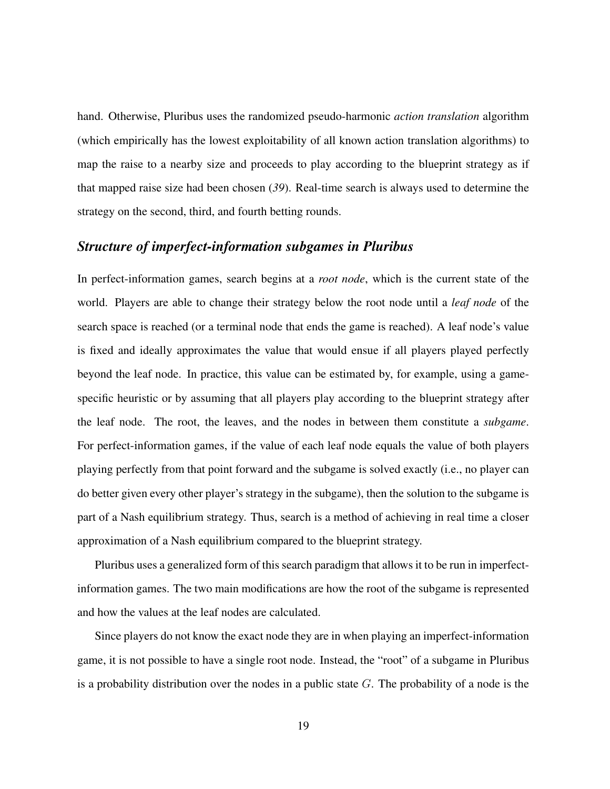hand. Otherwise, Pluribus uses the randomized pseudo-harmonic *action translation* algorithm (which empirically has the lowest exploitability of all known action translation algorithms) to map the raise to a nearby size and proceeds to play according to the blueprint strategy as if that mapped raise size had been chosen (*39*). Real-time search is always used to determine the strategy on the second, third, and fourth betting rounds.

#### *Structure of imperfect-information subgames in Pluribus*

In perfect-information games, search begins at a *root node*, which is the current state of the world. Players are able to change their strategy below the root node until a *leaf node* of the search space is reached (or a terminal node that ends the game is reached). A leaf node's value is fixed and ideally approximates the value that would ensue if all players played perfectly beyond the leaf node. In practice, this value can be estimated by, for example, using a gamespecific heuristic or by assuming that all players play according to the blueprint strategy after the leaf node. The root, the leaves, and the nodes in between them constitute a *subgame*. For perfect-information games, if the value of each leaf node equals the value of both players playing perfectly from that point forward and the subgame is solved exactly (i.e., no player can do better given every other player's strategy in the subgame), then the solution to the subgame is part of a Nash equilibrium strategy. Thus, search is a method of achieving in real time a closer approximation of a Nash equilibrium compared to the blueprint strategy.

Pluribus uses a generalized form of this search paradigm that allows it to be run in imperfectinformation games. The two main modifications are how the root of the subgame is represented and how the values at the leaf nodes are calculated.

Since players do not know the exact node they are in when playing an imperfect-information game, it is not possible to have a single root node. Instead, the "root" of a subgame in Pluribus is a probability distribution over the nodes in a public state  $G$ . The probability of a node is the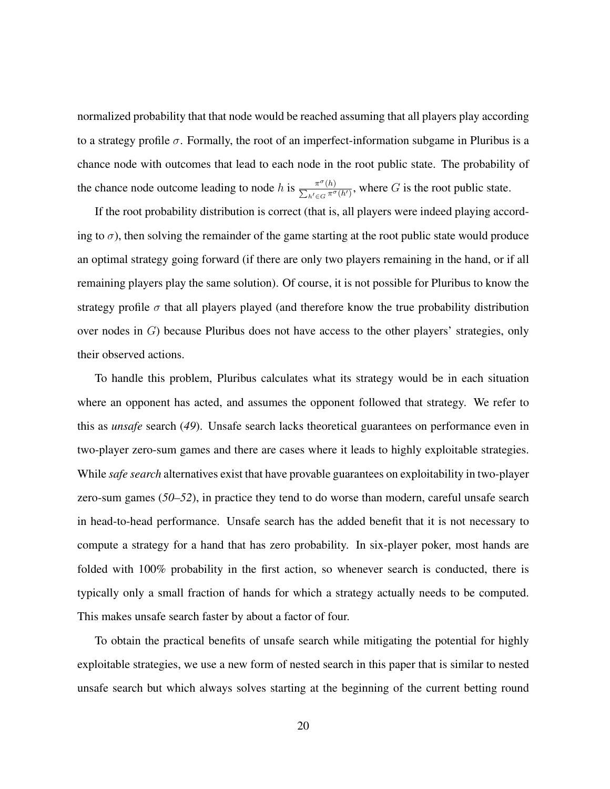normalized probability that that node would be reached assuming that all players play according to a strategy profile  $\sigma$ . Formally, the root of an imperfect-information subgame in Pluribus is a chance node with outcomes that lead to each node in the root public state. The probability of the chance node outcome leading to node h is  $\frac{\pi^{\sigma}}{\sum_{k=1}^{\sigma}}$ P  $(h)$  $\frac{\pi^{\circ}(h)}{h'\in G}$ , where G is the root public state.

If the root probability distribution is correct (that is, all players were indeed playing according to  $\sigma$ ), then solving the remainder of the game starting at the root public state would produce an optimal strategy going forward (if there are only two players remaining in the hand, or if all remaining players play the same solution). Of course, it is not possible for Pluribus to know the strategy profile  $\sigma$  that all players played (and therefore know the true probability distribution over nodes in  $G$ ) because Pluribus does not have access to the other players' strategies, only their observed actions.

To handle this problem, Pluribus calculates what its strategy would be in each situation where an opponent has acted, and assumes the opponent followed that strategy. We refer to this as *unsafe* search (*49*). Unsafe search lacks theoretical guarantees on performance even in two-player zero-sum games and there are cases where it leads to highly exploitable strategies. While *safe search* alternatives exist that have provable guarantees on exploitability in two-player zero-sum games (*50–52*), in practice they tend to do worse than modern, careful unsafe search in head-to-head performance. Unsafe search has the added benefit that it is not necessary to compute a strategy for a hand that has zero probability. In six-player poker, most hands are folded with 100% probability in the first action, so whenever search is conducted, there is typically only a small fraction of hands for which a strategy actually needs to be computed. This makes unsafe search faster by about a factor of four.

To obtain the practical benefits of unsafe search while mitigating the potential for highly exploitable strategies, we use a new form of nested search in this paper that is similar to nested unsafe search but which always solves starting at the beginning of the current betting round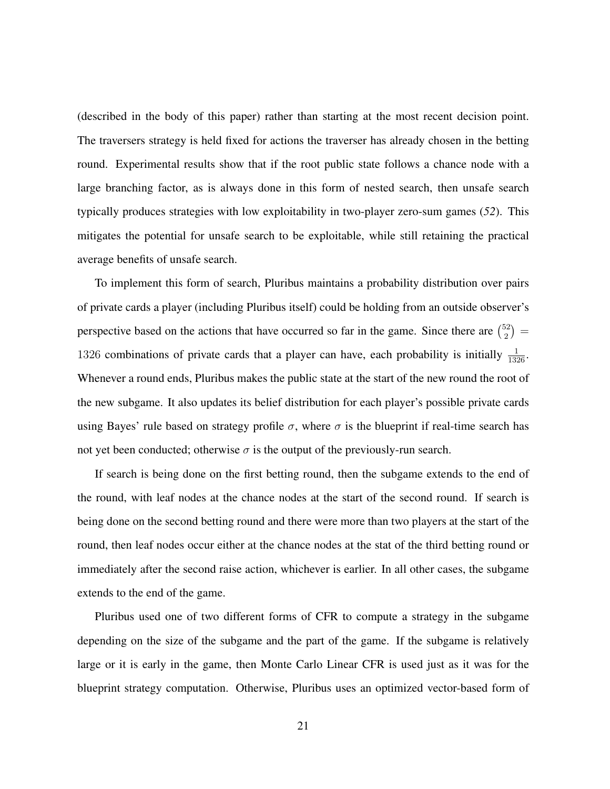<span id="page-21-0"></span>(described in the body of this paper) rather than starting at the most recent decision point. The traversers strategy is held fixed for actions the traverser has already chosen in the betting round. Experimental results show that if the root public state follows a chance node with a large branching factor, as is always done in this form of nested search, then unsafe search typically produces strategies with low exploitability in two-player zero-sum games (*52*). This mitigates the potential for unsafe search to be exploitable, while still retaining the practical average benefits of unsafe search.

To implement this form of search, Pluribus maintains a probability distribution over pairs of private cards a player (including Pluribus itself) could be holding from an outside observer's perspective based on the actions that have occurred so far in the game. Since there are  $\binom{52}{2}$  $\binom{52}{2} =$ 1326 combinations of private cards that a player can have, each probability is initially  $\frac{1}{1326}$ . Whenever a round ends, Pluribus makes the public state at the start of the new round the root of the new subgame. It also updates its belief distribution for each player's possible private cards using Bayes' rule based on strategy profile  $\sigma$ , where  $\sigma$  is the blueprint if real-time search has not yet been conducted; otherwise  $\sigma$  is the output of the previously-run search.

If search is being done on the first betting round, then the subgame extends to the end of the round, with leaf nodes at the chance nodes at the start of the second round. If search is being done on the second betting round and there were more than two players at the start of the round, then leaf nodes occur either at the chance nodes at the stat of the third betting round or immediately after the second raise action, whichever is earlier. In all other cases, the subgame extends to the end of the game.

Pluribus used one of two different forms of CFR to compute a strategy in the subgame depending on the size of the subgame and the part of the game. If the subgame is relatively large or it is early in the game, then Monte Carlo Linear CFR is used just as it was for the blueprint strategy computation. Otherwise, Pluribus uses an optimized vector-based form of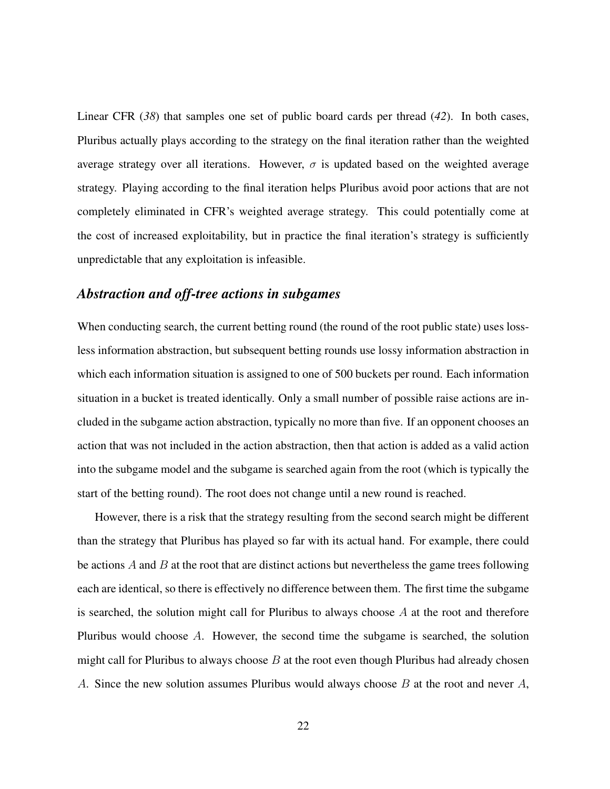Linear CFR (*38*) that samples one set of public board cards per thread (*42*). In both cases, Pluribus actually plays according to the strategy on the final iteration rather than the weighted average strategy over all iterations. However,  $\sigma$  is updated based on the weighted average strategy. Playing according to the final iteration helps Pluribus avoid poor actions that are not completely eliminated in CFR's weighted average strategy. This could potentially come at the cost of increased exploitability, but in practice the final iteration's strategy is sufficiently unpredictable that any exploitation is infeasible.

#### *Abstraction and off-tree actions in subgames*

When conducting search, the current betting round (the round of the root public state) uses lossless information abstraction, but subsequent betting rounds use lossy information abstraction in which each information situation is assigned to one of 500 buckets per round. Each information situation in a bucket is treated identically. Only a small number of possible raise actions are included in the subgame action abstraction, typically no more than five. If an opponent chooses an action that was not included in the action abstraction, then that action is added as a valid action into the subgame model and the subgame is searched again from the root (which is typically the start of the betting round). The root does not change until a new round is reached.

However, there is a risk that the strategy resulting from the second search might be different than the strategy that Pluribus has played so far with its actual hand. For example, there could be actions  $\ddot{A}$  and  $\ddot{B}$  at the root that are distinct actions but nevertheless the game trees following each are identical, so there is effectively no difference between them. The first time the subgame is searched, the solution might call for Pluribus to always choose  $A$  at the root and therefore Pluribus would choose A. However, the second time the subgame is searched, the solution might call for Pluribus to always choose  $B$  at the root even though Pluribus had already chosen A. Since the new solution assumes Pluribus would always choose  $B$  at the root and never  $A$ ,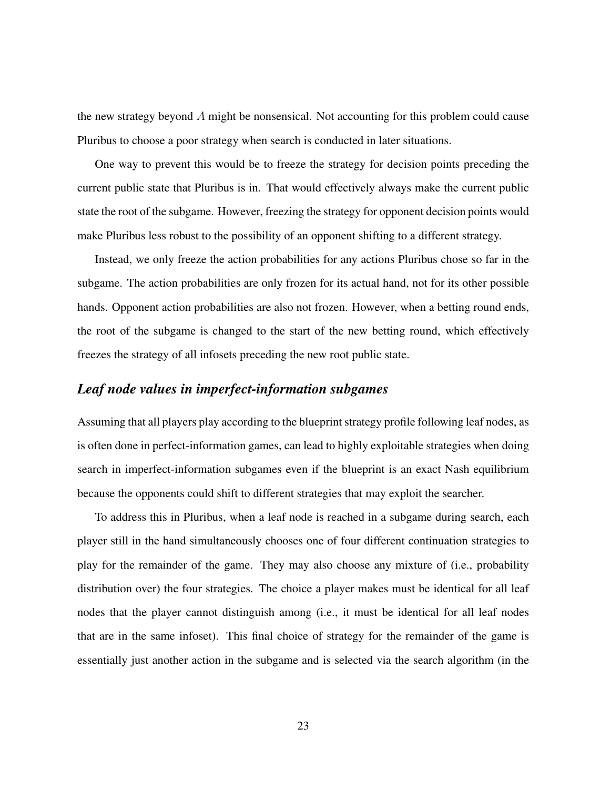the new strategy beyond A might be nonsensical. Not accounting for this problem could cause Pluribus to choose a poor strategy when search is conducted in later situations.

One way to prevent this would be to freeze the strategy for decision points preceding the current public state that Pluribus is in. That would effectively always make the current public state the root of the subgame. However, freezing the strategy for opponent decision points would make Pluribus less robust to the possibility of an opponent shifting to a different strategy.

Instead, we only freeze the action probabilities for any actions Pluribus chose so far in the subgame. The action probabilities are only frozen for its actual hand, not for its other possible hands. Opponent action probabilities are also not frozen. However, when a betting round ends, the root of the subgame is changed to the start of the new betting round, which effectively freezes the strategy of all infosets preceding the new root public state.

#### *Leaf node values in imperfect-information subgames*

Assuming that all players play according to the blueprint strategy profile following leaf nodes, as is often done in perfect-information games, can lead to highly exploitable strategies when doing search in imperfect-information subgames even if the blueprint is an exact Nash equilibrium because the opponents could shift to different strategies that may exploit the searcher.

To address this in Pluribus, when a leaf node is reached in a subgame during search, each player still in the hand simultaneously chooses one of four different continuation strategies to play for the remainder of the game. They may also choose any mixture of (i.e., probability distribution over) the four strategies. The choice a player makes must be identical for all leaf nodes that the player cannot distinguish among (i.e., it must be identical for all leaf nodes that are in the same infoset). This final choice of strategy for the remainder of the game is essentially just another action in the subgame and is selected via the search algorithm (in the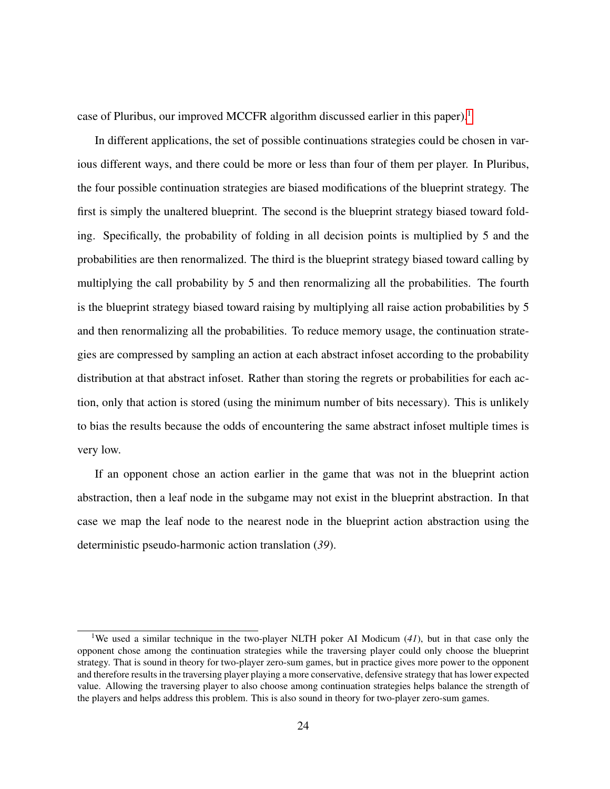case of Pluribus, our improved MCCFR algorithm discussed earlier in this paper).<sup>1</sup>

In different applications, the set of possible continuations strategies could be chosen in various different ways, and there could be more or less than four of them per player. In Pluribus, the four possible continuation strategies are biased modifications of the blueprint strategy. The first is simply the unaltered blueprint. The second is the blueprint strategy biased toward folding. Specifically, the probability of folding in all decision points is multiplied by 5 and the probabilities are then renormalized. The third is the blueprint strategy biased toward calling by multiplying the call probability by 5 and then renormalizing all the probabilities. The fourth is the blueprint strategy biased toward raising by multiplying all raise action probabilities by 5 and then renormalizing all the probabilities. To reduce memory usage, the continuation strategies are compressed by sampling an action at each abstract infoset according to the probability distribution at that abstract infoset. Rather than storing the regrets or probabilities for each action, only that action is stored (using the minimum number of bits necessary). This is unlikely to bias the results because the odds of encountering the same abstract infoset multiple times is very low.

If an opponent chose an action earlier in the game that was not in the blueprint action abstraction, then a leaf node in the subgame may not exist in the blueprint abstraction. In that case we map the leaf node to the nearest node in the blueprint action abstraction using the deterministic pseudo-harmonic action translation (*39*).

<sup>1</sup>We used a similar technique in the two-player NLTH poker AI Modicum (*41*), but in that case only the opponent chose among the continuation strategies while the traversing player could only choose the blueprint strategy. That is sound in theory for two-player zero-sum games, but in practice gives more power to the opponent and therefore results in the traversing player playing a more conservative, defensive strategy that has lower expected value. Allowing the traversing player to also choose among continuation strategies helps balance the strength of the players and helps address this problem. This is also sound in theory for two-player zero-sum games.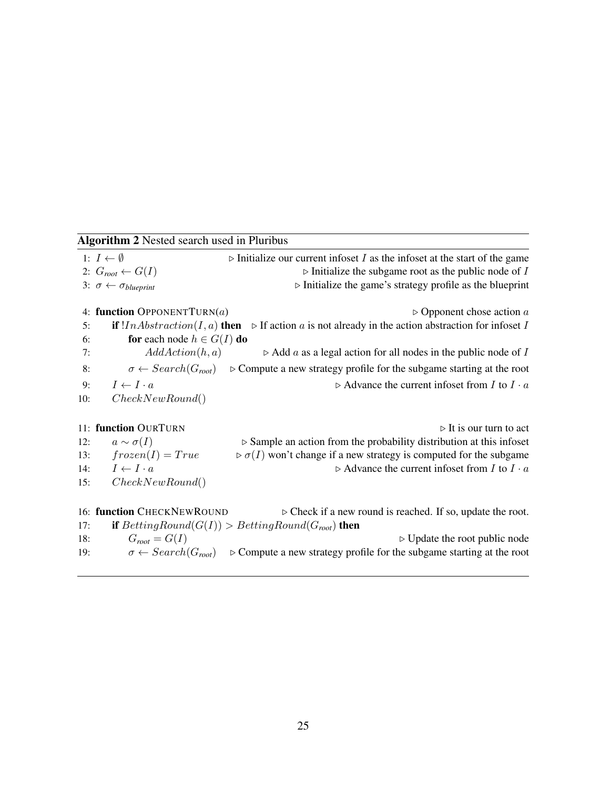|     | <b>Algorithm 2</b> Nested search used in Pluribus                                                                        |                                                                                                                      |  |  |  |  |  |  |
|-----|--------------------------------------------------------------------------------------------------------------------------|----------------------------------------------------------------------------------------------------------------------|--|--|--|--|--|--|
|     | 1: $I \leftarrow \emptyset$<br>$\triangleright$ Initialize our current infoset I as the infoset at the start of the game |                                                                                                                      |  |  |  |  |  |  |
|     | 2: $G_{root} \leftarrow G(I)$                                                                                            | $\triangleright$ Initialize the subgame root as the public node of I                                                 |  |  |  |  |  |  |
|     | 3: $\sigma \leftarrow \sigma_{blueprint}$                                                                                | $\triangleright$ Initialize the game's strategy profile as the blueprint                                             |  |  |  |  |  |  |
|     | 4: function OPPONENTTURN(a)                                                                                              | $\triangleright$ Opponent chose action a                                                                             |  |  |  |  |  |  |
| 5:  |                                                                                                                          | if $! In Abstraction(I, a)$ then $\triangleright$ If action a is not already in the action abstraction for infoset I |  |  |  |  |  |  |
| 6:  | for each node $h \in G(I)$ do                                                                                            |                                                                                                                      |  |  |  |  |  |  |
| 7:  | AddAction(h, a)                                                                                                          | $\triangleright$ Add a as a legal action for all nodes in the public node of I                                       |  |  |  |  |  |  |
| 8:  | $\sigma \leftarrow Search(G_{root})$                                                                                     | $\triangleright$ Compute a new strategy profile for the subgame starting at the root                                 |  |  |  |  |  |  |
| 9:  | $I \leftarrow I \cdot a$                                                                                                 | $\triangleright$ Advance the current infoset from I to I $\cdot$ a                                                   |  |  |  |  |  |  |
| 10: | CheckNewRound()                                                                                                          |                                                                                                                      |  |  |  |  |  |  |
|     | 11: function OURTURN                                                                                                     | $\triangleright$ It is our turn to act                                                                               |  |  |  |  |  |  |
| 12: | $a \sim \sigma(I)$                                                                                                       | $\triangleright$ Sample an action from the probability distribution at this infoset                                  |  |  |  |  |  |  |
| 13: | $frozen(I)=True$                                                                                                         | $\triangleright \sigma(I)$ won't change if a new strategy is computed for the subgame                                |  |  |  |  |  |  |
| 14: | $I \leftarrow I \cdot a$                                                                                                 | $\triangleright$ Advance the current infoset from I to I $\cdot$ a                                                   |  |  |  |  |  |  |
| 15: | CheckNewRound()                                                                                                          |                                                                                                                      |  |  |  |  |  |  |
|     | 16: function CHECKNEWROUND                                                                                               | $\triangleright$ Check if a new round is reached. If so, update the root.                                            |  |  |  |  |  |  |
| 17: |                                                                                                                          | <b>if</b> $BettingRound(G(I)) > BettingRound(G_{root})$ then                                                         |  |  |  |  |  |  |
| 18: | $G_{root} = G(I)$                                                                                                        | $\triangleright$ Update the root public node                                                                         |  |  |  |  |  |  |
| 19: | $\sigma \leftarrow Search(G_{root})$                                                                                     | $\triangleright$ Compute a new strategy profile for the subgame starting at the root                                 |  |  |  |  |  |  |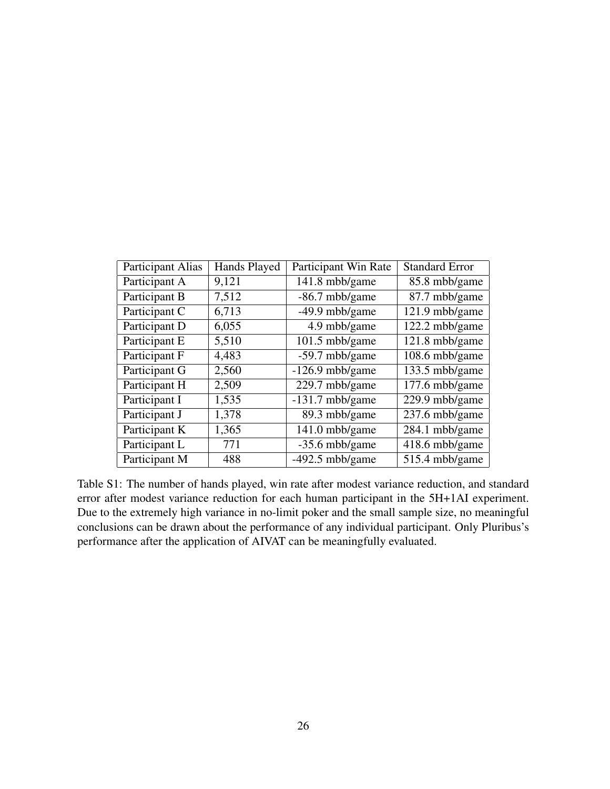| <b>Participant Alias</b> | Hands Played | Participant Win Rate | <b>Standard Error</b> |
|--------------------------|--------------|----------------------|-----------------------|
| Participant A            | 9,121        | 141.8 mbb/game       | 85.8 mbb/game         |
| Participant B            | 7,512        | $-86.7$ mbb/game     | 87.7 mbb/game         |
| Participant C            | 6,713        | $-49.9$ mbb/game     | 121.9 mbb/game        |
| Participant D            | 6,055        | 4.9 mbb/game         | 122.2 mbb/game        |
| Participant E            | 5,510        | 101.5 mbb/game       | 121.8 mbb/game        |
| Participant F            | 4,483        | $-59.7$ mbb/game     | 108.6 mbb/game        |
| Participant G            | 2,560        | $-126.9$ mbb/game    | 133.5 mbb/game        |
| Participant H            | 2,509        | 229.7 mbb/game       | 177.6 mbb/game        |
| Participant I            | 1,535        | $-131.7$ mbb/game    | 229.9 mbb/game        |
| Participant J            | 1,378        | 89.3 mbb/game        | 237.6 mbb/game        |
| Participant K            | 1,365        | 141.0 mbb/game       | 284.1 mbb/game        |
| Participant L            | 771          | $-35.6$ mbb/game     | 418.6 mbb/game        |
| Participant M            | 488          | $-492.5$ mbb/game    | 515.4 mbb/game        |

Table S1: The number of hands played, win rate after modest variance reduction, and standard error after modest variance reduction for each human participant in the 5H+1AI experiment. Due to the extremely high variance in no-limit poker and the small sample size, no meaningful conclusions can be drawn about the performance of any individual participant. Only Pluribus's performance after the application of AIVAT can be meaningfully evaluated.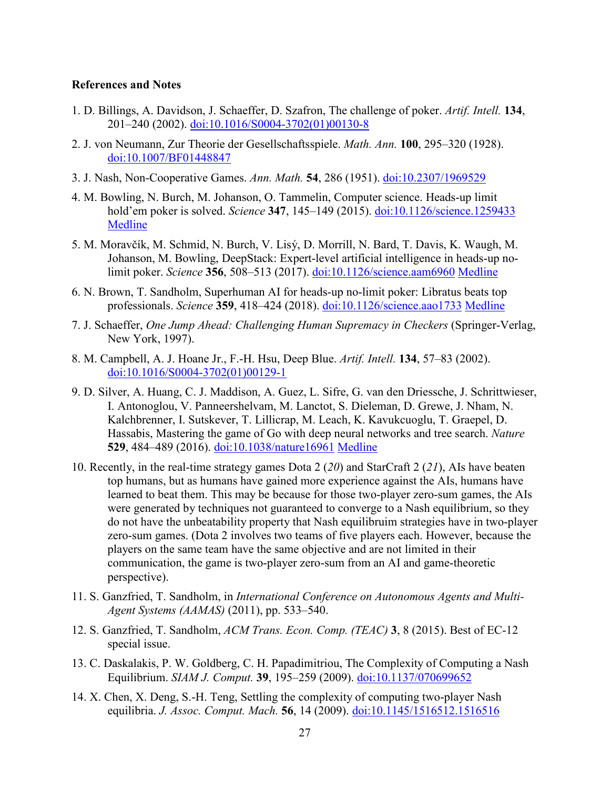#### **References and Notes**

- 1. D. Billings, A. Davidson, J. Schaeffer, D. Szafron, The challenge of poker. *Artif. Intell.* **134**, 201–240 (2002). [doi:10.1016/S0004-3702\(01\)00130-8](http://dx.doi.org/10.1016/S0004-3702(01)00130-8)
- 2. J. von Neumann, Zur Theorie der Gesellschaftsspiele. *Math. Ann.* **100**, 295–320 (1928). [doi:10.1007/BF01448847](http://dx.doi.org/10.1007/BF01448847)
- 3. J. Nash, Non-Cooperative Games. *Ann. Math.* **54**, 286 (1951). [doi:10.2307/1969529](http://dx.doi.org/10.2307/1969529)
- 4. M. Bowling, N. Burch, M. Johanson, O. Tammelin, Computer science. Heads-up limit hold'em poker is solved. *Science* **347**, 145–149 (2015). [doi:10.1126/science.1259433](http://dx.doi.org/10.1126/science.1259433) [Medline](http://www.ncbi.nlm.nih.gov/entrez/query.fcgi?cmd=Retrieve&db=PubMed&list_uids=25574016&dopt=Abstract)
- 5. M. Moravčík, M. Schmid, N. Burch, V. Lisý, D. Morrill, N. Bard, T. Davis, K. Waugh, M. Johanson, M. Bowling, DeepStack: Expert-level artificial intelligence in heads-up nolimit poker. *Science* **356**, 508–513 (2017). [doi:10.1126/science.aam6960](http://dx.doi.org/10.1126/science.aam6960) [Medline](http://www.ncbi.nlm.nih.gov/entrez/query.fcgi?cmd=Retrieve&db=PubMed&list_uids=28254783&dopt=Abstract)
- 6. N. Brown, T. Sandholm, Superhuman AI for heads-up no-limit poker: Libratus beats top professionals. *Science* **359**, 418–424 (2018). [doi:10.1126/science.aao1733](http://dx.doi.org/10.1126/science.aao1733) [Medline](http://www.ncbi.nlm.nih.gov/entrez/query.fcgi?cmd=Retrieve&db=PubMed&list_uids=29249696&dopt=Abstract)
- 7. J. Schaeffer, *One Jump Ahead: Challenging Human Supremacy in Checkers* (Springer-Verlag, New York, 1997).
- 8. M. Campbell, A. J. Hoane Jr., F.-H. Hsu, Deep Blue. *Artif. Intell.* **134**, 57–83 (2002). [doi:10.1016/S0004-3702\(01\)00129-1](http://dx.doi.org/10.1016/S0004-3702(01)00129-1)
- 9. D. Silver, A. Huang, C. J. Maddison, A. Guez, L. Sifre, G. van den Driessche, J. Schrittwieser, I. Antonoglou, V. Panneershelvam, M. Lanctot, S. Dieleman, D. Grewe, J. Nham, N. Kalchbrenner, I. Sutskever, T. Lillicrap, M. Leach, K. Kavukcuoglu, T. Graepel, D. Hassabis, Mastering the game of Go with deep neural networks and tree search. *Nature* **529**, 484–489 (2016). [doi:10.1038/nature16961](http://dx.doi.org/10.1038/nature16961) [Medline](http://www.ncbi.nlm.nih.gov/entrez/query.fcgi?cmd=Retrieve&db=PubMed&list_uids=26819042&dopt=Abstract)
- 10. Recently, in the real-time strategy games Dota 2 (*20*) and StarCraft 2 (*21*), AIs have beaten top humans, but as humans have gained more experience against the AIs, humans have learned to beat them. This may be because for those two-player zero-sum games, the AIs were generated by techniques not guaranteed to converge to a Nash equilibrium, so they do not have the unbeatability property that Nash equilibruim strategies have in two-player zero-sum games. (Dota 2 involves two teams of five players each. However, because the players on the same team have the same objective and are not limited in their communication, the game is two-player zero-sum from an AI and game-theoretic perspective).
- 11. S. Ganzfried, T. Sandholm, in *International Conference on Autonomous Agents and Multi-Agent Systems (AAMAS)* (2011), pp. 533–540.
- 12. S. Ganzfried, T. Sandholm, *ACM Trans. Econ. Comp. (TEAC)* **3**, 8 (2015). Best of EC-12 special issue.
- 13. C. Daskalakis, P. W. Goldberg, C. H. Papadimitriou, The Complexity of Computing a Nash Equilibrium. *SIAM J. Comput.* **39**, 195–259 (2009). [doi:10.1137/070699652](http://dx.doi.org/10.1137/070699652)
- 14. X. Chen, X. Deng, S.-H. Teng, Settling the complexity of computing two-player Nash equilibria. *J. Assoc. Comput. Mach.* **56**, 14 (2009). [doi:10.1145/1516512.1516516](http://dx.doi.org/10.1145/1516512.1516516)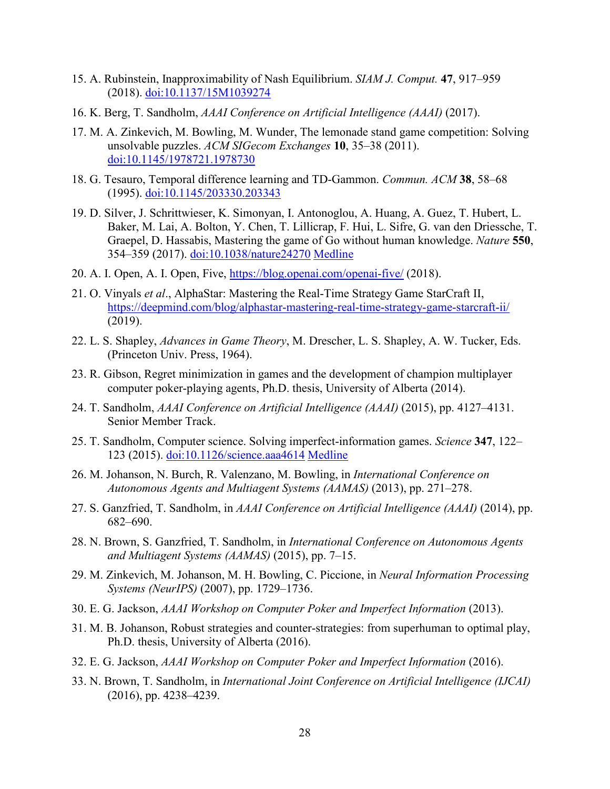- 15. A. Rubinstein, Inapproximability of Nash Equilibrium. *SIAM J. Comput.* **47**, 917–959 (2018). [doi:10.1137/15M1039274](http://dx.doi.org/10.1137/15M1039274)
- 16. K. Berg, T. Sandholm, *AAAI Conference on Artificial Intelligence (AAAI)* (2017).
- 17. M. A. Zinkevich, M. Bowling, M. Wunder, The lemonade stand game competition: Solving unsolvable puzzles. *ACM SIGecom Exchanges* **10**, 35–38 (2011). [doi:10.1145/1978721.1978730](http://dx.doi.org/10.1145/1978721.1978730)
- 18. G. Tesauro, Temporal difference learning and TD-Gammon. *Commun. ACM* **38**, 58–68 (1995). [doi:10.1145/203330.203343](http://dx.doi.org/10.1145/203330.203343)
- 19. D. Silver, J. Schrittwieser, K. Simonyan, I. Antonoglou, A. Huang, A. Guez, T. Hubert, L. Baker, M. Lai, A. Bolton, Y. Chen, T. Lillicrap, F. Hui, L. Sifre, G. van den Driessche, T. Graepel, D. Hassabis, Mastering the game of Go without human knowledge. *Nature* **550**, 354–359 (2017). [doi:10.1038/nature24270](http://dx.doi.org/10.1038/nature24270) [Medline](http://www.ncbi.nlm.nih.gov/entrez/query.fcgi?cmd=Retrieve&db=PubMed&list_uids=29052630&dopt=Abstract)
- 20. A. I. Open, A. I. Open, Five,<https://blog.openai.com/openai-five/> (2018).
- 21. O. Vinyals *et al*., AlphaStar: Mastering the Real-Time Strategy Game StarCraft II, <https://deepmind.com/blog/alphastar-mastering-real-time-strategy-game-starcraft-ii/> (2019).
- 22. L. S. Shapley, *Advances in Game Theory*, M. Drescher, L. S. Shapley, A. W. Tucker, Eds. (Princeton Univ. Press, 1964).
- 23. R. Gibson, Regret minimization in games and the development of champion multiplayer computer poker-playing agents, Ph.D. thesis, University of Alberta (2014).
- 24. T. Sandholm, *AAAI Conference on Artificial Intelligence (AAAI)* (2015), pp. 4127–4131. Senior Member Track.
- 25. T. Sandholm, Computer science. Solving imperfect-information games. *Science* **347**, 122– 123 (2015). [doi:10.1126/science.aaa4614](http://dx.doi.org/10.1126/science.aaa4614) [Medline](http://www.ncbi.nlm.nih.gov/entrez/query.fcgi?cmd=Retrieve&db=PubMed&list_uids=25574004&dopt=Abstract)
- 26. M. Johanson, N. Burch, R. Valenzano, M. Bowling, in *International Conference on Autonomous Agents and Multiagent Systems (AAMAS)* (2013), pp. 271–278.
- 27. S. Ganzfried, T. Sandholm, in *AAAI Conference on Artificial Intelligence (AAAI)* (2014), pp. 682–690.
- 28. N. Brown, S. Ganzfried, T. Sandholm, in *International Conference on Autonomous Agents and Multiagent Systems (AAMAS)* (2015), pp. 7–15.
- 29. M. Zinkevich, M. Johanson, M. H. Bowling, C. Piccione, in *Neural Information Processing Systems (NeurIPS)* (2007), pp. 1729–1736.
- 30. E. G. Jackson, *AAAI Workshop on Computer Poker and Imperfect Information* (2013).
- 31. M. B. Johanson, Robust strategies and counter-strategies: from superhuman to optimal play, Ph.D. thesis, University of Alberta (2016).
- 32. E. G. Jackson, *AAAI Workshop on Computer Poker and Imperfect Information* (2016).
- 33. N. Brown, T. Sandholm, in *International Joint Conference on Artificial Intelligence (IJCAI)* (2016), pp. 4238–4239.